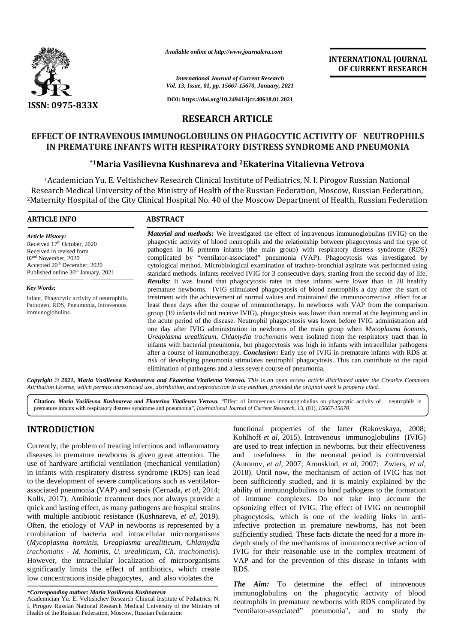

*Available online at http://www.journalcra.com*

#### *International Journal of Current Research Vol. 13, Issue, 01, pp. 15667-15670, January, 2021*

**DOI: https://doi.org/10.24941/ijcr.40618.01.2021**

## **INTERNATIONAL JOURNAL OF CURRENT RESEARCH**

**RESEARCH ARTICLE**

# **EFFECT OF INTRAVENOUS IMMUNOGLOBULINS ON PHAGOCYTIC ACTIVITY OF NEUTROPHILS IN PREMATURE INFANTS WITH RESPIRATORY DISTRESS SYNDROME AND PNEUMONIA INTRAVENOUS IMMUNOGLOBULINS ON PHAGOCYTIC ACTIVITY OF**<br>AATURE INFANTS WITH RESPIRATORY DISTRESS SYNDROME AND PI<br><sup>\*1</sup>Maria Vasilievna Kushnareva and <sup>2</sup>Ekaterina Vitalievna Vetrova

### **\*1Maria Vasilievna Kushnareva and <sup>2</sup>Ekaterina Vitalievna Vetrova**

<sup>1</sup>Academician Yu. E. Veltishchev Research Clinical Institute of Pediatrics, N. I. Pirogov Russian National Research Medical University of the Ministry of Health of the Russian Federation, Moscow, Russian Federation, Federation,<sup>2</sup>Maternity Hospital of the City Clinical Hospital No. 40 of the Moscow Department of Health, Russian Federation <sup>2</sup>40 of

#### **ARTICLE INFO ABSTRACT ARTICLE ABSTRACT**

*Article History:* Received 17<sup>th</sup> October, 2020 Received in revised form 02nd November, 2020 Received in revised form<br>02<sup>nd</sup> November, 2020<br>Accepted 20<sup>th</sup> December, 2020 Published online 30<sup>th</sup> January, 2021

*Key Words:* Infant, Phagocytic activity of neutrophils. Pathogen, RDS, Pneumonia, Intravenous immunoglobulins.

*Material and methods:* We investigated the effect of intravenous immunoglobulins (IVIG) on the phagocytic activity of blood neutrophils and the relationship between phagocytosis and the type of pathogen in 16 preterm infants (the main group) with respiratory distress syndrome (RDS) complicated by "ventilator-associated" pneumonia (VAP). Phagocytosis was investigated by cytological method. Microbiological examination of tracheo-bronchial aspirate was performed using standard methods. Infants received IVIG for 3 consecutive days, starting from the second day of life. **Results:** It was found that phagocytosis rates in these infants were lower than in 20 healthy premature newborns. IVIG stimulated phagocytosis of blood neutrophils a day after the start of treatment with the achievement of normal values and maintained the immunocorrective effect for at least three days after the course of immunotherapy. In newborns with VAP from the comparison group (19 infants did not receive IVIG), phagocytosis was lower than normal at the beginning and in the acute period of the disease. Neutrophil phagocytosis was lower before IVIG administration and one day after IVIG administration in newborns of the main group when *Mycoplasma hominis, Ureaplasma urealiticum*, *Chlamydia trachomatis* were isolated from the respiratory tract than in Ureaplasma urealiticum, Chlamydia trachomatis were isolated from the respiratory tract than in infants with bacterial pneumonia, but phagocytosis was high in infants with intracellular pathogens after a course of immunotherapy. *Conclusion***:** Early use of IVIG in premature infants with RDS at after a course of immunotherapy. *Conclusion*: Early use of IVIG in premature infants with RDS at<br>risk of developing pneumonia stimulates neutrophil phagocytosis. This can contribute to the rapid elimination of pathogens and a less severe course of pneumonia. and methods: We investigated the effect of intravenous immunoglobulins (IVIG) on t<br>c activity of blood neutrophils and the relationship between phagocytosis and the type<br>in 16 preterm infants (the main group) with respirat "ventilator-associated" pneumonia (VAP). Phagocytosis was investigated by d. Microbiological examination of tracheo-bronchial aspirate was performed using Infants received IVIG for 3 consecutive days, starting from the sec *Ilts*: It was found that phagocytosis rates in these infants were lower than in 20 healthy ature newborns. IVIG stimulated phagocytosis of blood neutrophils a day after the start of ment with the achievement of normal val **EVALUATION THE CONSULTERENT RESEARCH**<br> **EVALUATION CONTINUOS CONSULTERENT RESEARCH ARTICLE CONSULTERENT RESEARCH ARTICLE CONSULTERENT RESEARCH ARTICLE CONSULTERENT RESEARCH ARTICLE CONSULTERENT RESEARCH ARTICLE IN THE IN** distress pneumonia" *Current Research*, 13, (01),. *http://www.journalcra.com* **INFANTS WITH** course than **https://doi.org/10.24941/ijcr.40618.01.2021***Research* RDS,

Copyright © 2021, Maria Vasilievna Kushnareva and Ekaterina Vitalievna Vetrova. This is an open access article distributed under the Creative Commons **Copyright © 2021, Maria Vasilievna Kushnareva and Ekaterina Vitalievna Vetrova.** This is an open access article distributed under the Cre<br>Attribution License, which permits unrestricted use, distribution, and reproduction

Citation: *Maria Vasilievna Kushnareva and Ekaterina Vitalievna Vetrova. "Effect of intravenous immunoglobulins on phagocytic activity of neutrophils in* premature infants with respiratory distress syndrome and pneumonia", *International Journal of Current Research*, 13, (01), *15667-15670*.

## **INTRODUCTION INTRODUCTION**

Currently, the problem of treating infectious and inflammatory diseases in premature newborns is given great attention. The use of hardware artificial ventilation (mechanical ventilation) in infants with respiratory distress syndrome (RDS) can lead to the development of severe complications such as ventilator associated pneumonia (VAP) and sepsis (Cernada, *et al*, 2014; Kolls, 2017). Antibiotic treatment does not always provide a quick and lasting effect, as many pathogens are hospital strains with multiple antibiotic resistance (Kushnareva, *et al*, 2019). Often, the etiology of VAP in newborns is represented by a combination of bacteria and intracellular microorganisms (*Mycoplasma hominis, Ureaplasma urealiticum*, *Chlamydia trachomatis - M. hominis, U. urealiticum, Ch. trachomatis).* However, the intracellular localization of microorganisms significantly limits the effect of antibiotics, which create RD low concentrations inside phagocytes, and also violates the Currently, the problem of treating infectious and inflammatory diseases in premature newborns is given great attention. The use of hardware artificial ventilation (mechanical ventilation) in infants with respiratory distre Kolls, 2017). Antibiotic treatment does not always provide a quick and lasting effect, as many pathogens are hospital strains with multiple antibiotic resistance (Kushnareva, *et al*, 2019). Often, the etiology of VAP in n However, the intracellular localization of microorganisms V<br>significantly limits the effect of antibiotics, which create R<br>low concentrations inside phagocytes, and also violates the

functional properties of the latter (Rakovskaya, 2008; Kohlhoff *et al*, 2015). Intravenous immunoglobulins (IVIG) are used to treat infection in newborns, but their effectiveness and usefulness in the neonatal period is controversial (Antonov, *et al*, 2007; Aronskind, *et al*, 2007; Zwiers, *et al*, 2018). Until now, the mechanism of action of IVIG has not been sufficiently studied, and it is mainly explained by the ability of immunoglobulins to bind pathogens to the formation of immune complexes. Do not take into account the opsonizing effect of IVIG. The effect of IVIG on neutrophil phagocytosis, which is one of the leading links in antiinfective protection in premature newborns, has not been infective protection in premature newborns, has not been sufficiently studied. These facts dictate the need for a more indepth study of the mechanisms of immunocorrective action of depth study of the mechanisms of immunocorrective action of IVIG for their reasonable use in the complex treatment of VAP and for the prevention of this disease in infants with RDS. **INTRODUCTION**<br>
Externet the interministican and inflammatory and inflammatory and the latter (Rakovskaya, 2008;<br>
Corrently, the problem of texting infectious and inflammatory are used to treat infection in newborns, but 8). Until now, the mechanism of action of IVIG has not a sufficiently studied, and it is mainly explained by the formation immune complexes. Do not take into account the onizing effect of IVIG. The effect of IVIG on neutro

*The Aim:* To determine the effect of intravenous immunoglobulins on the phagocytic activity of blood neutrophils in premature newborns with RDS complicated by "ventilator-associated" pneumonia", and to study the **The Aim:** To determine the effect of intravenous immunoglobulins on the phagocytic activity of blood neutrophils in premature newborns with RDS complicated by

*<sup>\*</sup>Corresponding author: Maria Vasilievna Kushnareva \*Corresponding* 

Academician Yu. E. Veltishchev Research Clinical Institute of Pediatrics, N. I. Pirogov Russian National Research Medical University of the Ministry of Health of the Russian Federation, Moscow, Russian Federation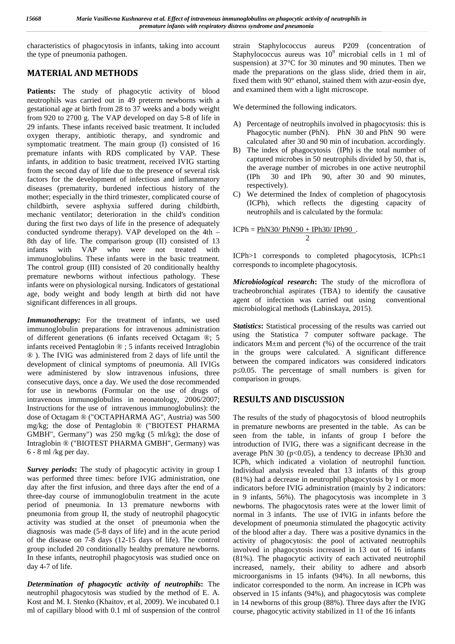characteristics of phagocytosis in infants, taking into account the type of pneumonia pathogen.

# **MATERIAL AND METHODS**

Patients: The study of phagocytic activity of blood neutrophils was carried out in 49 preterm newborns with a gestational age at birth from 28 to 37 weeks and a body weight from 920 to 2700 g. The VAP developed on day 5-8 of life in 29 infants. These infants received basic treatment. It included oxygen therapy, antibiotic therapy, and syndromic and symptomatic treatment. The main group (I) consisted of 16 premature infants with RDS complicated by VAP. These infants, in addition to basic treatment, received IVIG starting from the second day of life due to the presence of several risk the a factors for the development of infectious and inflammatory diseases (prematurity, burdened infectious history of the mother; especially in the third trimester, complicated course of childbirth, severe asphyxia suffered during childbirth, mechanic ventilator; deterioration in the child's condition during the first two days of life in the presence of adequately conducted syndrome therapy). VAP developed on the 4th – 8th day of life. The comparison group (II) consisted of 13 infants with VAP who were not treated with immunoglobulins. These infants were in the basic treatment. The control group (III) consisted of 20 conditionally healthy premature newborns without infectious pathology. These infants were on physiological nursing. Indicators of gestational age, body weight and body length at birth did not have significant differences in all groups.

*Immunotherapy:* For the treatment of infants, we used immunoglobulin preparations for intravenous administration of different generations (6 infants received Octagam ®; 5 infants received Pentaglobin ® ; 5 infants received Intraglobin ® ). The IVIG was administered from 2 days of life until the development of clinical symptoms of pneumonia. All IVIGs were administered by slow intravenous infusions, three consecutive days, once a day. We used the dose recommended for use in newborns (Formular on the use of drugs of intravenous immunoglobulins in neonatology, 2006/2007; Instructions for the use of intravenous immunoglobulins): the dose of Octagam ® ("OCTAPHARMA AG", Austria) was 500 mg/kg; the dose of Pentaglobin ® ("BIOTEST PHARMA GMBH", Germany") was 250 mg/kg (5 ml/kg); the dose of Intraglobin ® ("BIOTEST PHARMA GMBH", Germany) was 6 - 8 ml /kg per day.

*Survey periods*: The study of phagocytic activity in group I was performed three times: before IVIG administration, one day after the first infusion, and three days after the end of a three-day course of immunoglobulin treatment in the acute period of pneumonia. In 13 premature newborns with pneumonia from group II, the study of neutrophil phagocytic activity was studied at the onset of pneumonia when the diagnosis was made (5-8 days of life) and in the acute period of the disease on 7-8 days (12-15 days of life). The control group included 20 conditionally healthy premature newborns. In these infants, neutrophil phagocytosis was studied once on day 4-7 of life.

*Determination of phagocytic activity of neutrophils***:** The neutrophil phagocytosis was studied by the method of E. A. Kost and M. I. Stenko (Khaitov, et al, 2009). We incubated 0.1 ml of capillary blood with 0.1 ml of suspension of the control

strain Staphylococcus aureus P209 (concentration of Staphylococcus aureus was  $10^9$  microbial cells in 1 ml of suspension) at 37°C for 30 minutes and 90 minutes. Then we made the preparations on the glass slide, dried them in air, fixed them with 90° ethanol, stained them with azur-eosin dye, and examined them with a light microscope.

We determined the following indicators.

- A) Percentage of neutrophils involved in phagocytosis: this is Phagocytic number (PhN). PhN 30 and PhN 90 were calculated after 30 and 90 min of incubation. accordingly.
- B) The index of phagocytosis (IPh) is the total number of captured microbes in 50 neutrophils divided by 50, that is, the average number of microbes in one active neutrophil (IPh 30 and IPh 90, after 30 and 90 minutes, respectively).
- C) We determined the Index of completion of phagocytosis (IСPh), which reflects the digesting capacity of neutrophils and is calculated by the formula:

$$
ICPh = \frac{PhN30}{PhN90} + \frac{IPh30}{IPh90}.
$$

ICPh>1 corresponds to completed phagocytosis, ICPh 1 corresponds to incomplete phagocytosis.

*Microbiological research***:** The study of the microflora of tracheobronchial aspirates (TBA) to identify the causative agent of infection was carried out using conventional microbiological methods (Labinskaya, 2015).

*Statistics***:** Statistical processing of the results was carried out using the Statistica 7 computer software package. The indicators M±m and percent (%) of the occurrence of the trait in the groups were calculated. A significant difference between the compared indicators was considered indicators p≤0.05. The percentage of small numbers is given for comparison in groups.

## **RESULTS AND DISCUSSION**

The results of the study of phagocytosis of blood neutrophils in premature newborns are presented in the table. As can be seen from the table, in infants of group I before the introduction of IVIG, there was a significant decrease in the average PhN 30 ( $p<0.05$ ), a tendency to decrease IPh30 and ICPh, which indicated a violation of neutrophil function. Individual analysis revealed that 13 infants of this group (81%) had a decrease in neutrophil phagocytosis by 1 or more indicators before IVIG administration (mainly by 2 indicators: in 9 infants, 56%). The phagocytosis was incomplete in 3 newborns. The phagocytosis rates were at the lower limit of normal in 3 infants. The use of IVIG in infants before the development of pneumonia stimulated the phagocytic activity of the blood after a day. There was a positive dynamics in the activity of phagocytosis: the pool of activated neutrophils involved in phagocytosis increased in 13 out of 16 infants (81%). The phagocytic activity of each activated neutrophil increased, namely, their ability to adhere and absorb microorganisms in 15 infants (94%). In all newborns, this indicator corresponded to the norm. An increase in ICPh was observed in 15 infants (94%), and phagocytosis was complete in 14 newborns of this group (88%). Three days after the IVIG course, phagocytic activity stabilized in 11 of the 16 infants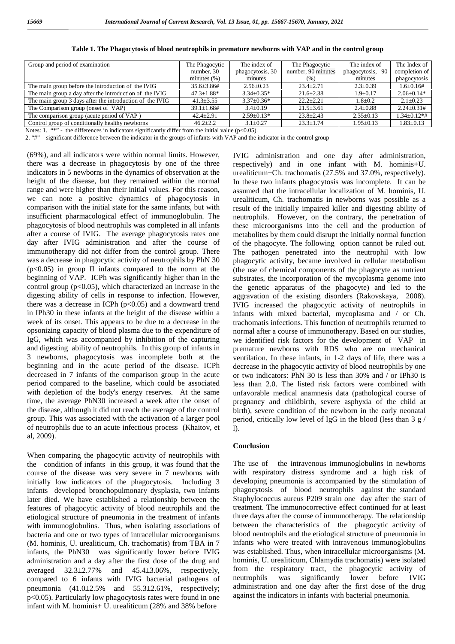| Group and period of examination                          | The Phagocytic          | The index of     | The Phagocytic     | The index of         | The Index of      |
|----------------------------------------------------------|-------------------------|------------------|--------------------|----------------------|-------------------|
|                                                          | number, 30              | phagocytosis, 30 | number, 90 minutes | phagocytosis,<br>-90 | completion of     |
|                                                          | minutes $(\% )$         | minutes          | (% )               | minutes              | phagocytosis      |
| The main group before the introduction of the IVIG       | $35.6 \pm 3.86 \pm 1.5$ | $2.56 \pm 0.23$  | $23.4 \pm 2.71$    | $2.3 \pm 0.39$       | $1.6 \pm 0.16#$   |
| The main group a day after the introduction of the IVIG  | $47.3 \pm 1.88*$        | $3.34 \pm 0.35*$ | $21.6 \pm 2.38$    | $1.9 \pm 0.17$       | $2.06+0.14*$      |
| The main group 3 days after the introduction of the IVIG | $41.3 \pm 3.55$         | $3.37+0.36*$     | $22.2 \pm 2.21$    | $1.8 \pm 0.2$        | $2.1 + 0.23$      |
| The Comparison group (onset of VAP)                      | $39.1 \pm 1.68$ #       | $3.4 \pm 0.19$   | $21.5 \pm 3.61$    | $2.4 \pm 0.88$       | $2.24+0.31#$      |
| The comparison group (acute period of VAP)               | $42.4 \pm 2.91$         | $2.59 \pm 0.13*$ | $23.8 \pm 2.43$    | $2.35 \pm 0.13$      | $1.34 \pm 0.12**$ |
| Control group of conditionally healthy newborns          | $46.2 + 2.2$            | $3.1 + 0.27$     | $23.3 \pm 1.74$    | $1.95 \pm 0.13$      | $1.83 \pm 0.13$   |

**Table 1. The Phagocytosis of blood neutrophils in premature newborns with VAP and in the control group**

Notes: 1. "\*" - the differences in indicators significantly differ from the initial value ( $\leq 0.05$ ).

2. "#" – significant difference between the indicator in the groups of infants with VAP and the indicator in the control group

(69%), and all indicators were within normal limits. However, there was a decrease in phagocytosis by one of the three indicators in 5 newborns in the dynamics of observation at the height of the disease, but they remained within the normal range and were higher than their initial values. For this reason, we can note a positive dynamics of phagocytosis in comparison with the initial state for the same infants, but with insufficient pharmacological effect of immunoglobulin. The phagocytosis of blood neutrophils was completed in all infants after a course of IVIG. The average phagocytosis rates one day after IVIG administration and after the course of immunotherapy did not differ from the control group. There was a decrease in phagocytic activity of neutrophils by PhN 30  $(p<0.05)$  in group II infants compared to the norm at the beginning of VAP. ICPh was significantly higher than in the control group  $(p<0.05)$ , which characterized an increase in the digesting ability of cells in response to infection. However, there was a decrease in ICPh  $(p<0.05)$  and a downward trend in IPh30 in these infants at the height of the disease within a week of its onset. This appears to be due to a decrease in the opsonizing capacity of blood plasma due to the expenditure of IgG, which was accompanied by inhibition of the capturing and digesting ability of neutrophils. In this group of infants in 3 newborns, phagocytosis was incomplete both at the beginning and in the acute period of the disease. ICPh decreased in 7 infants of the comparison group in the acute period compared to the baseline, which could be associated with depletion of the body's energy reserves. At the same time, the average PhN30 increased a week after the onset of the disease, although it did not reach the average of the control group. This was associated with the activation of a larger pool of neutrophils due to an acute infectious process (Khaitov, et al, 2009).

When comparing the phagocytic activity of neutrophils with the condition of infants in this group, it was found that the course of the disease was very severe in 7 newborns with initially low indicators of the phagocytosis. Including 3 infants developed bronchopulmonary dysplasia, two infants later died. We have established a relationship between the features of phagocytic activity of blood neutrophils and the etiological structure of pneumonia in the treatment of infants with immunoglobulins. Thus, when isolating associations of bacteria and one or two types of intracellular microorganisms (M. hominis, U. urealiticum, Ch. trachomatis) from TBA in 7 infants, the PhN30 was significantly lower before IVIG administration and a day after the first dose of the drug and averaged  $32.3\pm2.77\%$  and  $45.4\pm3.06\%$ , respectively, from the compared to 6 infants with IVIG bacterial pathogens of neutrophils compared to 6 infants with IVIG bacterial pathogens of pneumonia  $(41.0\pm2.5\%$  and  $55.3\pm2.61\%$ , respectively; p<0.05). Particularly low phagocytosis rates were found in one infant with M. hominis+ U. urealiticum (28% and 38% before

IVIG administration and one day after administration, respectively) and in one infant with M. hominis+U. urealiticum+Ch. trachomatis (27.5% and 37.0%, respectively). In these two infants phagocytosis was incomplete. It can be assumed that the intracellular localization of M. hominis, U. urealiticum, Ch. trachomatis in newborns was possible as a result of the initially impaired killer and digesting ability of neutrophils. However, on the contrary, the penetration of these microorganisms into the cell and the production of metabolites by them could disrupt the initially normal function of the phagocyte. The following option cannot be ruled out. The pathogen penetrated into the neutrophil with low phagocytic activity, became involved in cellular metabolism (the use of chemical components of the phagocyte as nutrient substrates, the incorporation of the mycoplasma genome into the genetic apparatus of the phagocyte) and led to the aggravation of the existing disorders (Rakovskaya, 2008). IVIG increased the phagocytic activity of neutrophils in infants with mixed bacterial, mycoplasma and  $/$  or  $h$ . trachomatis infections. This function of neutrophils returned to normal after a course of immunotherapy. Based on our studies, we identified risk factors for the development of VAP in premature newborns with RDS who are on mechanical ventilation. In these infants, in 1-2 days of life, there was a decrease in the phagocytic activity of blood neutrophils by one or two indicators: PhN 30 is less than 30% and / or IPh30 is less than 2.0. The listed risk factors were combined with unfavorable medical anamnesis data (pathological course of pregnancy and childbirth, severe asphyxia of the child at birth), severe condition of the newborn in the early neonatal period, critically low level of IgG in the blood (less than 3 g / l).

#### **Conclusion**

The use of the intravenous immunoglobulins in newborns with respiratory distress syndrome and a high risk of developing pneumonia is accompanied by the stimulation of phagocytosis of blood neutrophils against the standard Staphylococcus aureus P209 strain one day after the start of treatment. The immunocorrective effect continued for at least three days after the course of immunotherapy. The relationship between the characteristics of the phagocytic activity of blood neutrophils and the etiological structure of pneumonia in infants who were treated with intravenous immunoglobulins was established. Thus, when intracellular microorganisms (M. hominis, U. urealiticum, Chlamydia trachomatis) were isolated from the respiratory tract, the phagocytic activity of was significantly lower before IVIG administration and one day after the first dose of the drug against the indicators in infants with bacterial pneumonia.